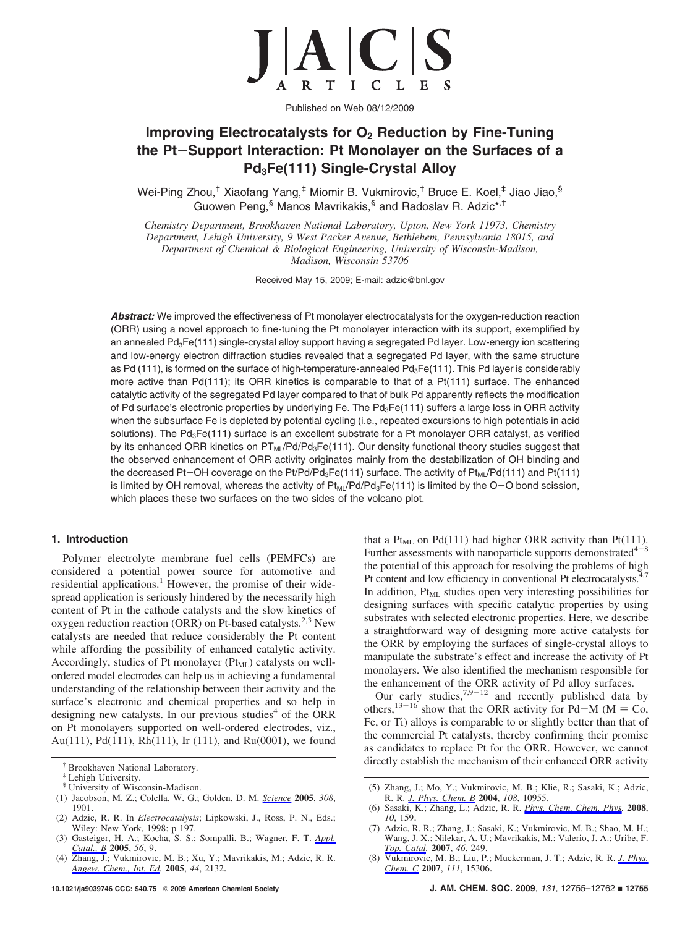

Published on Web 08/12/2009

# **Improving Electrocatalysts for O2 Reduction by Fine-Tuning the Pt**-**Support Interaction: Pt Monolayer on the Surfaces of a Pd3Fe(111) Single-Crystal Alloy**

Wei-Ping Zhou,† Xiaofang Yang,‡ Miomir B. Vukmirovic,† Bruce E. Koel,‡ Jiao Jiao,§ Guowen Peng,<sup>§</sup> Manos Mavrikakis,<sup>§</sup> and Radoslav R. Adzic\*<sup>,†</sup>

*Chemistry Department, Brookha*V*en National Laboratory, Upton, New York 11973, Chemistry Department, Lehigh University, 9 West Packer Avenue, Bethlehem, Pennsylvania 18015, and Department of Chemical & Biological Engineering, University of Wisconsin-Madison, Madison, Wisconsin 53706*

Received May 15, 2009; E-mail: adzic@bnl.gov

Abstract: We improved the effectiveness of Pt monolayer electrocatalysts for the oxygen-reduction reaction (ORR) using a novel approach to fine-tuning the Pt monolayer interaction with its support, exemplified by an annealed Pd<sub>3</sub>Fe(111) single-crystal alloy support having a segregated Pd layer. Low-energy ion scattering and low-energy electron diffraction studies revealed that a segregated Pd layer, with the same structure as Pd (111), is formed on the surface of high-temperature-annealed Pd<sub>3</sub>Fe(111). This Pd layer is considerably more active than Pd(111); its ORR kinetics is comparable to that of a Pt(111) surface. The enhanced catalytic activity of the segregated Pd layer compared to that of bulk Pd apparently reflects the modification of Pd surface's electronic properties by underlying Fe. The Pd<sub>3</sub>Fe(111) suffers a large loss in ORR activity when the subsurface Fe is depleted by potential cycling (i.e., repeated excursions to high potentials in acid solutions). The Pd<sub>3</sub>Fe(111) surface is an excellent substrate for a Pt monolayer ORR catalyst, as verified by its enhanced ORR kinetics on PT<sub>ML</sub>/Pd/Pd<sub>3</sub>Fe(111). Our density functional theory studies suggest that the observed enhancement of ORR activity originates mainly from the destabilization of OH binding and the decreased Pt-OH coverage on the Pt/Pd/Pd<sub>3</sub>Fe(111) surface. The activity of Pt<sub>ML</sub>/Pd(111) and Pt(111) is limited by OH removal, whereas the activity of  $Pt_{ML}/Pd/Pd_3Fe(111)$  is limited by the O-O bond scission, which places these two surfaces on the two sides of the volcano plot.

# **1. Introduction**

Polymer electrolyte membrane fuel cells (PEMFCs) are considered a potential power source for automotive and residential applications.<sup>1</sup> However, the promise of their widespread application is seriously hindered by the necessarily high content of Pt in the cathode catalysts and the slow kinetics of oxygen reduction reaction (ORR) on Pt-based catalysts.<sup>2,3</sup> New catalysts are needed that reduce considerably the Pt content while affording the possibility of enhanced catalytic activity. Accordingly, studies of Pt monolayer ( $Pt<sub>ML</sub>$ ) catalysts on wellordered model electrodes can help us in achieving a fundamental understanding of the relationship between their activity and the surface's electronic and chemical properties and so help in designing new catalysts. In our previous studies<sup>4</sup> of the ORR on Pt monolayers supported on well-ordered electrodes, viz., Au(111), Pd(111), Rh(111), Ir (111), and Ru(0001), we found

- (1) Jacobson, M. Z.; Colella, W. G.; Golden, D. M. *Science* **2005**, *308*, 1901.
- (2) Adzic, R. R. In *Electrocatalysis*; Lipkowski, J., Ross, P. N., Eds.; Wiley: New York, 1998; p 197.
- (3) Gasteiger, H. A.; Kocha, S. S.; Sompalli, B.; Wagner, F. T. *Appl. Catal., B* **2005**, *56*, 9.
- (4) Zhang, J.; Vukmirovic, M. B.; Xu, Y.; Mavrikakis, M.; Adzic, R. R. *Angew. Chem., Int. Ed.* **2005**, *44*, 2132.

that a Pt<sub>ML</sub> on Pd(111) had higher ORR activity than Pt(111). Further assessments with nanoparticle supports demonstrated  $4-8$ the potential of this approach for resolving the problems of high Pt content and low efficiency in conventional Pt electrocatalysts.<sup>4,7</sup> In addition,  $Pt<sub>ML</sub>$  studies open very interesting possibilities for designing surfaces with specific catalytic properties by using substrates with selected electronic properties. Here, we describe a straightforward way of designing more active catalysts for the ORR by employing the surfaces of single-crystal alloys to manipulate the substrate's effect and increase the activity of Pt monolayers. We also identified the mechanism responsible for the enhancement of the ORR activity of Pd alloy surfaces.

Our early studies,  $7,9-12$  and recently published data by others,<sup>13-16</sup> show that the ORR activity for Pd-M ( $M = Co$ , Fe, or Ti) alloys is comparable to or slightly better than that of the commercial Pt catalysts, thereby confirming their promise as candidates to replace Pt for the ORR. However, we cannot † directly establish the mechanism of their enhanced ORR activity Brookhaven National Laboratory.

<sup>‡</sup> Lehigh University.

<sup>§</sup> University of Wisconsin-Madison.

<sup>(5)</sup> Zhang, J.; Mo, Y.; Vukmirovic, M. B.; Klie, R.; Sasaki, K.; Adzic, R. R. *J. Phys. Chem. B* **2004**, *108*, 10955.

<sup>(6)</sup> Sasaki, K.; Zhang, L.; Adzic, R. R. *Phys. Chem. Chem. Phys.* **2008**, *10*, 159.

<sup>(7)</sup> Adzic, R. R.; Zhang, J.; Sasaki, K.; Vukmirovic, M. B.; Shao, M. H.; Wang, J. X.; Nilekar, A. U.; Mavrikakis, M.; Valerio, J. A.; Uribe, F. *Top. Catal.* **2007**, *46*, 249.

<sup>(8)</sup> Vukmirovic, M. B.; Liu, P.; Muckerman, J. T.; Adzic, R. R. *J. Phys. Chem. C* **2007**, *111*, 15306.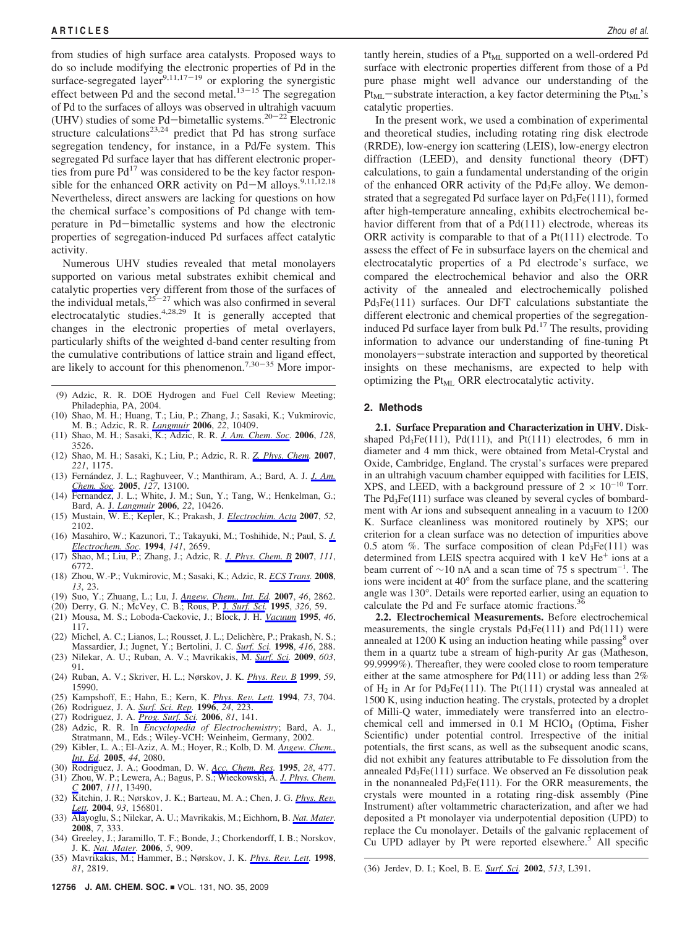from studies of high surface area catalysts. Proposed ways to do so include modifying the electronic properties of Pd in the surface-segregated layer<sup>9,11,17-19</sup> or exploring the synergistic effect between Pd and the second metal. $13-15$  The segregation of Pd to the surfaces of alloys was observed in ultrahigh vacuum (UHV) studies of some Pd-bimetallic systems.<sup>20-22</sup> Electronic structure calculations<sup>23,24</sup> predict that Pd has strong surface segregation tendency, for instance, in a Pd/Fe system. This segregated Pd surface layer that has different electronic properties from pure  $Pd^{17}$  was considered to be the key factor responsible for the enhanced ORR activity on Pd-M alloys.<sup>9,11,12,18</sup> Nevertheless, direct answers are lacking for questions on how the chemical surface's compositions of Pd change with temperature in Pd-bimetallic systems and how the electronic properties of segregation-induced Pd surfaces affect catalytic activity.

Numerous UHV studies revealed that metal monolayers supported on various metal substrates exhibit chemical and catalytic properties very different from those of the surfaces of the individual metals,  $25-27$  which was also confirmed in several electrocatalytic studies.<sup>4,28,29</sup> It is generally accepted that changes in the electronic properties of metal overlayers, particularly shifts of the weighted d-band center resulting from the cumulative contributions of lattice strain and ligand effect, are likely to account for this phenomenon.<sup>7,30-35</sup> More impor-

- (9) Adzic, R. R. DOE Hydrogen and Fuel Cell Review Meeting; Philadephia, PA, 2004.
- (10) Shao, M. H.; Huang, T.; Liu, P.; Zhang, J.; Sasaki, K.; Vukmirovic, M. B.; Adzic, R. R. *Langmuir* **2006**, *22*, 10409.
- (11) Shao, M. H.; Sasaki, K.; Adzic, R. R. *J. Am. Chem. Soc.* **2006**, *128*, 3526.
- (12) Shao, M. H.; Sasaki, K.; Liu, P.; Adzic, R. R. *Z. Phys. Chem.* **2007**, *221*, 1175.
- (13) Fernández, J. L.; Raghuveer, V.; Manthiram, A.; Bard, A. J. *J. Am. Chem. Soc.* **2005**, *127*, 13100.
- (14) Fernandez, J. L.; White, J. M.; Sun, Y.; Tang, W.; Henkelman, G.; Bard, A. J. *Langmuir* **2006**, *22*, 10426.
- (15) Mustain, W. E.; Kepler, K.; Prakash, J. *Electrochim. Acta* **2007**, *52*, 2102.
- (16) Masahiro, W.; Kazunori, T.; Takayuki, M.; Toshihide, N.; Paul, S. *J. Electrochem. Soc.* **1994**, *141*, 2659.
- (17) Shao, M.; Liu, P.; Zhang, J.; Adzic, R. *J. Phys. Chem. B* **2007**, *111*, 6772.
- (18) Zhou, W.-P.; Vukmirovic, M.; Sasaki, K.; Adzic, R. *ECS Trans.* **2008**, *13*, 23.
- (19) Suo, Y.; Zhuang, L.; Lu, J. *Angew. Chem., Int. Ed.* **2007**, *46*, 2862.
- (20) Derry, G. N.; McVey, C. B.; Rous, P. J. *Surf. Sci.* **1995**, *326*, 59.
- (21) Mousa, M. S.; Loboda-Cackovic, J.; Block, J. H. *Vacuum* **1995**, *46*, 117.
- (22) Michel, A. C.; Lianos, L.; Rousset, J. L.; Delichère, P.; Prakash, N. S.; Massardier, J.; Jugnet, Y.; Bertolini, J. C. *Surf. Sci.* **1998**, *416*, 288. (23) Nilekar, A. U.; Ruban, A. V.; Mavrikakis, M. *Surf. Sci.* **2009**, *603*,
- 91.
- (24) Ruban, A. V.; Skriver, H. L.; Nørskov, J. K. *Phys. Re*V*. B* **<sup>1999</sup>**, *<sup>59</sup>*, 15990.
- (25) Kampshoff, E.; Hahn, E.; Kern, K. *Phys. Re*V*. Lett.* **<sup>1994</sup>**, *<sup>73</sup>*, 704. (26) Rodriguez, J. A. *Surf. Sci. Rep.* **<sup>1996</sup>**, *<sup>24</sup>*, 223.
- 
- (27) Rodriguez, J. A. *Prog. Surf. Sci.* **2006**, *81*, 141.
- (28) Adzic, R. R. In *Encyclopedia of Electrochemistry*; Bard, A. J., Stratmann, M., Eds.; Wiley-VCH: Weinheim, Germany, 2002.
- (29) Kibler, L. A.; El-Aziz, A. M.; Hoyer, R.; Kolb, D. M. *Angew. Chem., Int. Ed.* **2005**, *44*, 2080.
- (30) Rodriguez, J. A.; Goodman, D. W. *Acc. Chem. Res.* **1995**, *28*, 477. (31) Zhou, W. P.; Lewera, A.; Bagus, P. S.; Wieckowski, A. *J. Phys. Chem. C* **2007**, *111*, 13490.
- (32) Kitchin, J. R.; Nørskov, J. K.; Barteau, M. A.; Chen, J. G. *Phys. Re*V*. Lett.* **2004**, *93*, 156801.
- (33) Alayoglu, S.; Nilekar, A. U.; Mavrikakis, M.; Eichhorn, B. *Nat. Mater.* **2008**, *7*, 333.
- (34) Greeley, J.; Jaramillo, T. F.; Bonde, J.; Chorkendorff, I. B.; Norskov, J. K. *Nat. Mater.* **2006**, *5*, 909.
- (35) Mavrikakis, M.; Hammer, B.; Nørskov, J. K. *Phys. Re*V*. Lett.* **<sup>1998</sup>**,

tantly herein, studies of a  $Pt_{ML}$  supported on a well-ordered Pd surface with electronic properties different from those of a Pd pure phase might well advance our understanding of the  $Pt<sub>ML</sub>$ -substrate interaction, a key factor determining the  $Pt<sub>ML</sub>$ 's catalytic properties.

In the present work, we used a combination of experimental and theoretical studies, including rotating ring disk electrode (RRDE), low-energy ion scattering (LEIS), low-energy electron diffraction (LEED), and density functional theory (DFT) calculations, to gain a fundamental understanding of the origin of the enhanced ORR activity of the Pd3Fe alloy. We demonstrated that a segregated Pd surface layer on Pd<sub>3</sub>Fe(111), formed after high-temperature annealing, exhibits electrochemical behavior different from that of a Pd(111) electrode, whereas its ORR activity is comparable to that of a Pt(111) electrode. To assess the effect of Fe in subsurface layers on the chemical and electrocatalytic properties of a Pd electrode's surface, we compared the electrochemical behavior and also the ORR activity of the annealed and electrochemically polished Pd3Fe(111) surfaces. Our DFT calculations substantiate the different electronic and chemical properties of the segregationinduced Pd surface layer from bulk Pd.17 The results, providing information to advance our understanding of fine-tuning Pt monolayers-substrate interaction and supported by theoretical insights on these mechanisms, are expected to help with optimizing the Pt<sub>ML</sub> ORR electrocatalytic activity.

#### **2. Methods**

**2.1. Surface Preparation and Characterization in UHV.** Diskshaped  $Pd_3Fe(111)$ ,  $Pd(111)$ , and  $Pt(111)$  electrodes, 6 mm in diameter and 4 mm thick, were obtained from Metal-Crystal and Oxide, Cambridge, England. The crystal's surfaces were prepared in an ultrahigh vacuum chamber equipped with facilities for LEIS, XPS, and LEED, with a background pressure of  $2 \times 10^{-10}$  Torr. The  $Pd_3Fe(111)$  surface was cleaned by several cycles of bombardment with Ar ions and subsequent annealing in a vacuum to 1200 K. Surface cleanliness was monitored routinely by XPS; our criterion for a clean surface was no detection of impurities above 0.5 atom %. The surface composition of clean  $Pd_3Fe(111)$  was determined from LEIS spectra acquired with  $1 \text{ keV He}^+$  ions at a beam current of  $\sim$ 10 nA and a scan time of 75 s spectrum<sup>-1</sup>. The ions were incident at 40° from the surface plane, and the scattering angle was 130°. Details were reported earlier, using an equation to calculate the Pd and Fe surface atomic fractions.<sup>3</sup>

**2.2. Electrochemical Measurements.** Before electrochemical measurements, the single crystals  $Pd_3Fe(111)$  and  $Pd(111)$  were annealed at 1200 K using an induction heating while passing<sup>8</sup> over them in a quartz tube a stream of high-purity Ar gas (Matheson, 99.9999%). Thereafter, they were cooled close to room temperature either at the same atmosphere for Pd(111) or adding less than 2% of  $H_2$  in Ar for Pd<sub>3</sub>Fe(111). The Pt(111) crystal was annealed at 1500 K, using induction heating. The crystals, protected by a droplet of Milli-Q water, immediately were transferred into an electrochemical cell and immersed in 0.1 M HClO<sub>4</sub> (Optima, Fisher Scientific) under potential control. Irrespective of the initial potentials, the first scans, as well as the subsequent anodic scans, did not exhibit any features attributable to Fe dissolution from the annealed  $Pd_3Fe(111)$  surface. We observed an Fe dissolution peak in the nonannealed  $Pd_3Fe(111)$ . For the ORR measurements, the crystals were mounted in a rotating ring-disk assembly (Pine Instrument) after voltammetric characterization, and after we had deposited a Pt monolayer via underpotential deposition (UPD) to replace the Cu monolayer. Details of the galvanic replacement of Cu UPD adlayer by Pt were reported elsewhere.<sup>5</sup> All specific

*<sup>81</sup>*, 2819. (36) Jerdev, D. I.; Koel, B. E. *Surf. Sci.* **2002**, *513*, L391.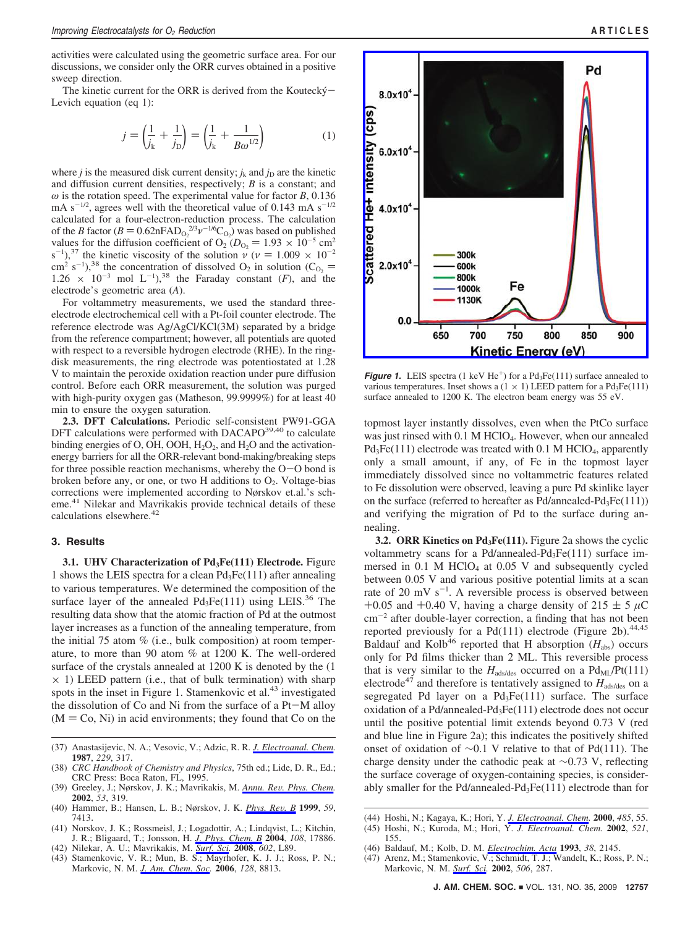activities were calculated using the geometric surface area. For our discussions, we consider only the ORR curves obtained in a positive sweep direction.

The kinetic current for the ORR is derived from the Koutecký $-$ Levich equation (eq 1):

$$
j = \left(\frac{1}{j_k} + \frac{1}{j_D}\right) = \left(\frac{1}{j_k} + \frac{1}{B\omega^{1/2}}\right)
$$
 (1)

where *j* is the measured disk current density;  $j_k$  and  $j_D$  are the kinetic and diffusion current densities, respectively; *B* is a constant; and  $\omega$  is the rotation speed. The experimental value for factor *B*, 0.136 mA  $s^{-1/2}$ , agrees well with the theoretical value of 0.143 mA  $s^{-1/2}$ calculated for a four-electron-reduction process. The calculation of the *B* factor  $(B = 0.62$ nFAD<sub>0</sub><sup>2/3</sup>*v*<sup>-1/6</sup>C<sub>0</sub><sup>2</sup>) was based on published values for the diffusion coefficient of O<sub>2</sub> (D<sub>0</sub> = 1.93  $\times$  10<sup>-5</sup> cm<sup>2</sup> values for the diffusion coefficient of  $O_2$  ( $D_{\text{O}_2} = 1.93 \times 10^{-5} \text{ cm}^2$ s<sup>-1</sup>),<sup>37</sup> the kinetic viscosity of the solution  $\nu$  ( $\nu = 1.009 \times 10^{-2}$ <br>cm<sup>2</sup> s<sup>-1</sup>)<sup>38</sup> the concentration of dissolved O<sub>2</sub> in solution (C<sub>0</sub> = cm<sup>2</sup> s<sup>-1</sup>),<sup>38</sup> the concentration of dissolved O<sub>2</sub> in solution (C<sub>O<sub>2</sub> = 1.26  $\times$  10<sup>-3</sup> mol L<sup>-1</sup>)<sup>38</sup> the Faraday constant (F) and the</sub>  $1.26 \times 10^{-3}$  mol L<sup>-1</sup>),<sup>38</sup> the Faraday constant (*F*), and the electrode's geometric area (*A*).

For voltammetry measurements, we used the standard threeelectrode electrochemical cell with a Pt-foil counter electrode. The reference electrode was Ag/AgCl/KCl(3M) separated by a bridge from the reference compartment; however, all potentials are quoted with respect to a reversible hydrogen electrode (RHE). In the ringdisk measurements, the ring electrode was potentiostated at 1.28 V to maintain the peroxide oxidation reaction under pure diffusion control. Before each ORR measurement, the solution was purged with high-purity oxygen gas (Matheson, 99.9999%) for at least 40 min to ensure the oxygen saturation.

**2.3. DFT Calculations.** Periodic self-consistent PW91-GGA DFT calculations were performed with  $DACAPO<sup>39,40</sup>$  to calculate binding energies of O, OH, OOH,  $H_2O_2$ , and  $H_2O$  and the activationenergy barriers for all the ORR-relevant bond-making/breaking steps for three possible reaction mechanisms, whereby the  $O-O$  bond is broken before any, or one, or two H additions to  $O_2$ . Voltage-bias corrections were implemented according to Nørskov et.al.'s scheme.<sup>41</sup> Nilekar and Mavrikakis provide technical details of these calculations elsewhere.<sup>42</sup>

### **3. Results**

**3.1. UHV Characterization of Pd<sub>3</sub>Fe(111) Electrode.** Figure 1 shows the LEIS spectra for a clean  $Pd_3Fe(111)$  after annealing to various temperatures. We determined the composition of the surface layer of the annealed  $Pd_3Fe(111)$  using LEIS.<sup>36</sup> The resulting data show that the atomic fraction of Pd at the outmost layer increases as a function of the annealing temperature, from the initial 75 atom % (i.e., bulk composition) at room temperature, to more than 90 atom % at 1200 K. The well-ordered surface of the crystals annealed at 1200 K is denoted by the (1  $\times$  1) LEED pattern (i.e., that of bulk termination) with sharp spots in the inset in Figure 1. Stamenkovic et al.<sup>43</sup> investigated the dissolution of Co and Ni from the surface of a Pt-M alloy  $(M = Co, Ni)$  in acid environments; they found that Co on the

- (37) Anastasijevic, N. A.; Vesovic, V.; Adzic, R. R. *J. Electroanal. Chem.* **1987**, *229*, 317.
- (38) *CRC Handbook of Chemistry and Physics*, 75th ed.; Lide, D. R., Ed.; CRC Press: Boca Raton, FL, 1995.
- (39) Greeley, J.; Nørskov, J. K.; Mavrikakis, M. *Annu. Re*V*. Phys. Chem.* **2002**, *53*, 319.
- (40) Hammer, B.; Hansen, L. B.; Nørskov, J. K. *Phys. Re*V*. B* **<sup>1999</sup>**, *<sup>59</sup>*, 7413.
- (41) Norskov, J. K.; Rossmeisl, J.; Logadottir, A.; Lindqvist, L.; Kitchin, J. R.; Bligaard, T.; Jonsson, H. *J. Phys. Chem. B* **2004**, *108*, 17886.
- (42) Nilekar, A. U.; Mavrikakis, M. *Surf. Sci.* **2008**, *602*, L89.
- (43) Stamenkovic, V. R.; Mun, B. S.; Mayrhofer, K. J. J.; Ross, P. N.; Markovic, N. M. *J. Am. Chem. Soc.* **2006**, *128*, 8813.



*Figure 1.* LEIS spectra (1 keV He<sup>+</sup>) for a  $Pd_3Fe(111)$  surface annealed to various temperatures. Inset shows a  $(1 \times 1)$  LEED pattern for a Pd<sub>3</sub>Fe(111) surface annealed to 1200 K. The electron beam energy was 55 eV.

topmost layer instantly dissolves, even when the PtCo surface was just rinsed with 0.1 M HClO<sub>4</sub>. However, when our annealed Pd<sub>3</sub>Fe(111) electrode was treated with 0.1 M HClO<sub>4</sub>, apparently only a small amount, if any, of Fe in the topmost layer immediately dissolved since no voltammetric features related to Fe dissolution were observed, leaving a pure Pd skinlike layer on the surface (referred to hereafter as  $Pd/annealed-Pd_3Fe(111))$ and verifying the migration of Pd to the surface during annealing.

**3.2. ORR Kinetics on Pd<sub>3</sub>Fe(111).** Figure 2a shows the cyclic voltammetry scans for a Pd/annealed-Pd<sub>3</sub>Fe $(111)$  surface immersed in 0.1 M HClO<sub>4</sub> at 0.05 V and subsequently cycled between 0.05 V and various positive potential limits at a scan rate of 20 mV  $s^{-1}$ . A reversible process is observed between +0.05 and +0.40 V, having a charge density of  $215 \pm 5 \mu C$ cm-<sup>2</sup> after double-layer correction, a finding that has not been reported previously for a Pd(111) electrode (Figure 2b).<sup>44,45</sup> Baldauf and Kolb<sup>46</sup> reported that H absorption  $(H_{\text{abs}})$  occurs only for Pd films thicker than 2 ML. This reversible process that is very similar to the  $H_{\text{ads/des}}$  occurred on a  $Pd_{\text{ML}}/Pt(111)$ electrode<sup>47</sup> and therefore is tentatively assigned to  $H_{\text{ads/des}}$  on a segregated Pd layer on a  $Pd_3Fe(111)$  surface. The surface oxidation of a Pd/annealed-Pd<sub>3</sub>Fe $(111)$  electrode does not occur until the positive potential limit extends beyond 0.73 V (red and blue line in Figure 2a); this indicates the positively shifted onset of oxidation of ∼0.1 V relative to that of Pd(111). The charge density under the cathodic peak at ∼0.73 V, reflecting the surface coverage of oxygen-containing species, is considerably smaller for the Pd/annealed-Pd<sub>3</sub>Fe $(111)$  electrode than for

- (44) Hoshi, N.; Kagaya, K.; Hori, Y. *J. Electroanal. Chem.* **2000**, *485*, 55.
- (45) Hoshi, N.; Kuroda, M.; Hori, Y. *J. Electroanal. Chem.* **2002**, *521*, 155.
- (46) Baldauf, M.; Kolb, D. M. *Electrochim. Acta* **1993**, *38*, 2145.
- (47) Arenz, M.; Stamenkovic, V.; Schmidt, T. J.; Wandelt, K.; Ross, P. N.; Markovic, N. M. *Surf. Sci.* **2002**, *506*, 287.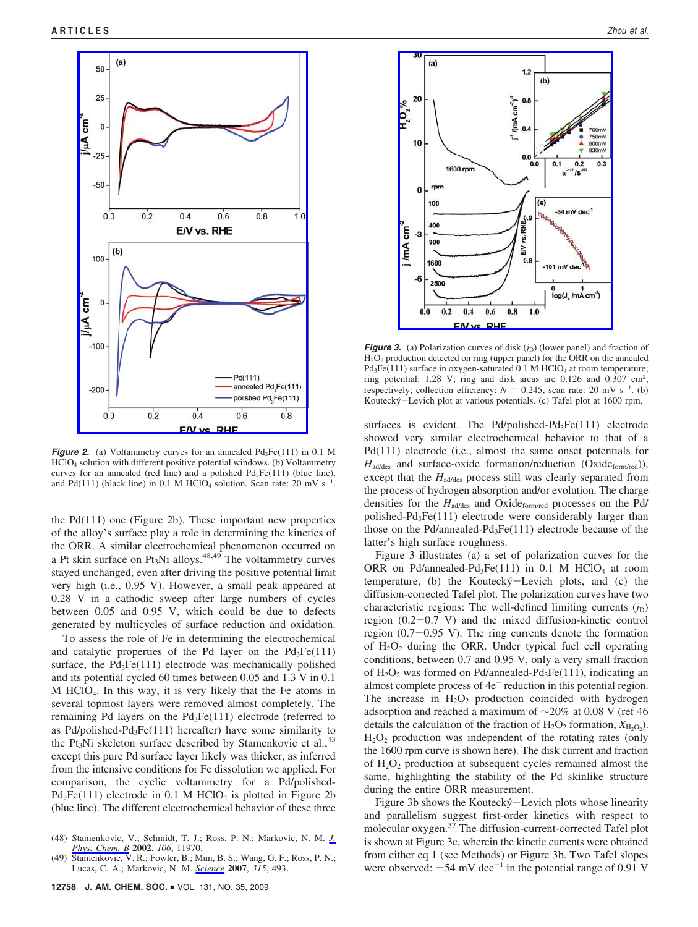

*Figure 2.* (a) Voltammetry curves for an annealed Pd<sub>3</sub>Fe(111) in 0.1 M HClO4 solution with different positive potential windows. (b) Voltammetry curves for an annealed (red line) and a polished  $Pd_3Fe(111)$  (blue line), and Pd(111) (black line) in 0.1 M HClO<sub>4</sub> solution. Scan rate: 20 mV  $s^{-1}$ .

the Pd(111) one (Figure 2b). These important new properties of the alloy's surface play a role in determining the kinetics of the ORR. A similar electrochemical phenomenon occurred on a Pt skin surface on Pt<sub>3</sub>Ni alloys.<sup>48,49</sup> The voltammetry curves stayed unchanged, even after driving the positive potential limit very high (i.e., 0.95 V). However, a small peak appeared at 0.28 V in a cathodic sweep after large numbers of cycles between 0.05 and 0.95 V, which could be due to defects generated by multicycles of surface reduction and oxidation.

To assess the role of Fe in determining the electrochemical and catalytic properties of the Pd layer on the  $Pd_3Fe(111)$ surface, the Pd<sub>3</sub>Fe(111) electrode was mechanically polished and its potential cycled 60 times between 0.05 and 1.3 V in 0.1 M HClO4. In this way, it is very likely that the Fe atoms in several topmost layers were removed almost completely. The remaining Pd layers on the  $Pd_3Fe(111)$  electrode (referred to as Pd/polished-Pd<sub>3</sub>Fe $(111)$  hereafter) have some similarity to the Pt<sub>3</sub>Ni skeleton surface described by Stamenkovic et al.,  $43$ except this pure Pd surface layer likely was thicker, as inferred from the intensive conditions for Fe dissolution we applied. For comparison, the cyclic voltammetry for a Pd/polished- $Pd_3Fe(111)$  electrode in 0.1 M HClO<sub>4</sub> is plotted in Figure 2b (blue line). The different electrochemical behavior of these three



*Figure 3.* (a) Polarization curves of disk  $(j_D)$  (lower panel) and fraction of H2O2 production detected on ring (upper panel) for the ORR on the annealed  $Pd_3Fe(111)$  surface in oxygen-saturated 0.1 M HClO<sub>4</sub> at room temperature; ring potential: 1.28 V; ring and disk areas are 0.126 and 0.307 cm<sup>2</sup>, respectively; collection efficiency:  $N = 0.245$ , scan rate: 20 mV s<sup>-1</sup>. (b)<br>Koutecký – Levich plot at various potentials. (c) Tafel plot at 1600 rpm Koutecky´-Levich plot at various potentials. (c) Tafel plot at 1600 rpm.

surfaces is evident. The Pd/polished-Pd<sub>3</sub>Fe(111) electrode showed very similar electrochemical behavior to that of a Pd(111) electrode (i.e., almost the same onset potentials for H<sub>ad/des</sub> and surface-oxide formation/reduction (Oxide<sub>form/red</sub>)), except that the  $H_{\text{ad/des}}$  process still was clearly separated from the process of hydrogen absorption and/or evolution. The charge densities for the  $H_{\text{ad/des}}$  and Oxide<sub>form/red</sub> processes on the Pd/ polished-Pd3Fe(111) electrode were considerably larger than those on the Pd/annealed-Pd3Fe(111) electrode because of the latter's high surface roughness.

Figure 3 illustrates (a) a set of polarization curves for the ORR on Pd/annealed-Pd<sub>3</sub>Fe(111) in 0.1 M HClO<sub>4</sub> at room temperature, (b) the Koutecký-Levich plots, and (c) the diffusion-corrected Tafel plot. The polarization curves have two characteristic regions: The well-defined limiting currents  $(j_D)$ region (0.2-0.7 V) and the mixed diffusion-kinetic control region (0.7-0.95 V). The ring currents denote the formation of  $H_2O_2$  during the ORR. Under typical fuel cell operating conditions, between 0.7 and 0.95 V, only a very small fraction of  $H_2O_2$  was formed on Pd/annealed-Pd<sub>3</sub>Fe(111), indicating an almost complete process of  $4e^-$  reduction in this potential region. The increase in  $H_2O_2$  production coincided with hydrogen adsorption and reached a maximum of ∼20% at 0.08 V (ref 46 details the calculation of the fraction of  $H_2O_2$  formation,  $X_{H_2O_2}$ ).  $H_2O_2$  production was independent of the rotating rates (only the 1600 rpm curve is shown here). The disk current and fraction of  $H_2O_2$  production at subsequent cycles remained almost the same, highlighting the stability of the Pd skinlike structure during the entire ORR measurement.

Figure 3b shows the Koutecký–Levich plots whose linearity and parallelism suggest first-order kinetics with respect to molecular oxygen.37 The diffusion-current-corrected Tafel plot is shown at Figure 3c, wherein the kinetic currents were obtained from either eq 1 (see Methods) or Figure 3b. Two Tafel slopes were observed:  $-54$  mV dec<sup>-1</sup> in the potential range of 0.91 V

<sup>(48)</sup> Stamenkovic, V.; Schmidt, T. J.; Ross, P. N.; Markovic, N. M. *J. Phys. Chem. B* **2002**, *106*, 11970.

<sup>(49)</sup> Stamenkovic, V. R.; Fowler, B.; Mun, B. S.; Wang, G. F.; Ross, P. N.; Lucas, C. A.; Markovic, N. M. *Science* **2007**, *315*, 493.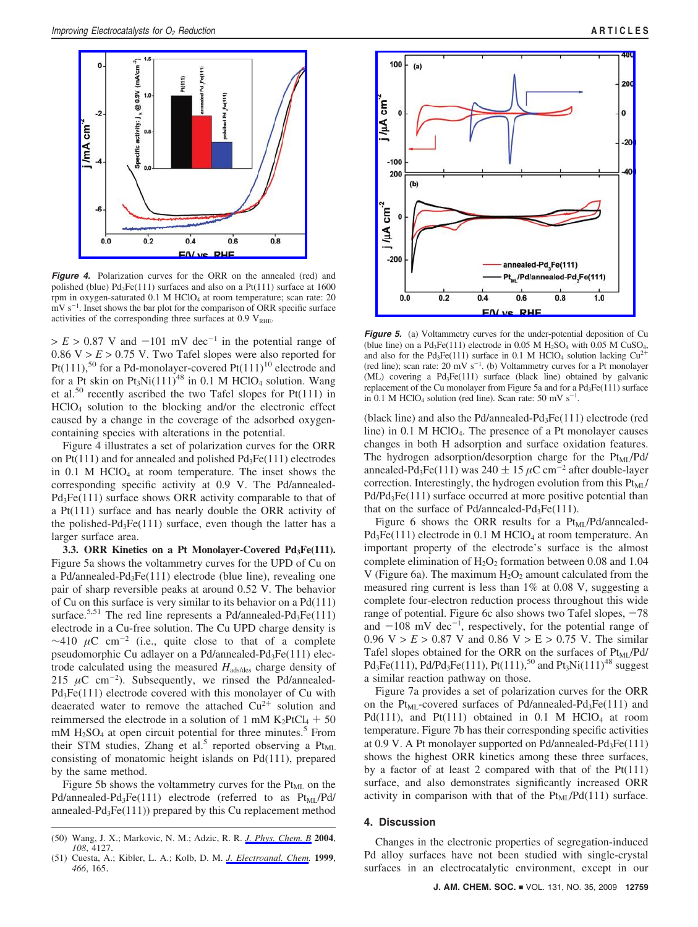

*Figure 4.* Polarization curves for the ORR on the annealed (red) and polished (blue)  $Pd_3Fe(111)$  surfaces and also on a  $Pt(111)$  surface at 1600 rpm in oxygen-saturated  $0.1$  M HClO<sub>4</sub> at room temperature; scan rate: 20 mV s<sup>-1</sup>. Inset shows the bar plot for the comparison of ORR specific surface activities of the corresponding three surfaces at  $0.9 V<sub>RHE</sub>$ .

 $> E > 0.87$  V and  $-101$  mV dec<sup>-1</sup> in the potential range of 0.86  $V > E > 0.75$  V. Two Tafel slopes were also reported for Pt(111),<sup>50</sup> for a Pd-monolayer-covered Pt(111)<sup>10</sup> electrode and for a Pt skin on  $Pt_3Ni(111)^{48}$  in 0.1 M HClO<sub>4</sub> solution. Wang et al.<sup>50</sup> recently ascribed the two Tafel slopes for Pt(111) in HClO4 solution to the blocking and/or the electronic effect caused by a change in the coverage of the adsorbed oxygencontaining species with alterations in the potential.

Figure 4 illustrates a set of polarization curves for the ORR on  $Pt(111)$  and for annealed and polished  $Pd_3Fe(111)$  electrodes in  $0.1$  M HClO<sub>4</sub> at room temperature. The inset shows the corresponding specific activity at 0.9 V. The Pd/annealed-Pd<sub>3</sub>Fe(111) surface shows ORR activity comparable to that of a Pt(111) surface and has nearly double the ORR activity of the polished- $Pd_3Fe(111)$  surface, even though the latter has a larger surface area.

**3.3. ORR Kinetics on a Pt Monolayer-Covered Pd3Fe(111).** Figure 5a shows the voltammetry curves for the UPD of Cu on a Pd/annealed-Pd3Fe(111) electrode (blue line), revealing one pair of sharp reversible peaks at around 0.52 V. The behavior of Cu on this surface is very similar to its behavior on a Pd(111) surface.<sup>5,51</sup> The red line represents a Pd/annealed-Pd<sub>3</sub>Fe(111) electrode in a Cu-free solution. The Cu UPD charge density is  $\sim$ 410  $\mu$ C cm<sup>-2</sup> (i.e., quite close to that of a complete pseudomorphic Cu adlayer on a Pd/annealed-Pd<sub>3</sub>Fe(111) electrode calculated using the measured *H*ads/des charge density of 215  $\mu$ C cm<sup>-2</sup>). Subsequently, we rinsed the Pd/annealed-Pd<sub>3</sub>Fe(111) electrode covered with this monolayer of Cu with deaerated water to remove the attached  $Cu^{2+}$  solution and reimmersed the electrode in a solution of 1 mM  $K_2PtCl_4 + 50$ mM  $H_2SO_4$  at open circuit potential for three minutes.<sup>5</sup> From their STM studies, Zhang et al.<sup>5</sup> reported observing a  $Pt_{ML}$ consisting of monatomic height islands on Pd(111), prepared by the same method.

Figure 5b shows the voltammetry curves for the  $Pt<sub>ML</sub>$  on the Pd/annealed-Pd<sub>3</sub>Fe(111) electrode (referred to as  $Pt_{ML}/Pd/$ annealed- $Pd_3Fe(111)$ ) prepared by this Cu replacement method



*Figure 5.* (a) Voltammetry curves for the under-potential deposition of Cu (blue line) on a Pd<sub>3</sub>Fe(111) electrode in 0.05 M H<sub>2</sub>SO<sub>4</sub> with 0.05 M CuSO<sub>4</sub>, and also for the Pd<sub>3</sub>Fe(111) surface in 0.1 M HClO<sub>4</sub> solution lacking  $Cu^{2+}$ (red line); scan rate: 20 mV  $s^{-1}$ . (b) Voltammetry curves for a Pt monolayer (ML) covering a Pd3Fe(111) surface (black line) obtained by galvanic replacement of the Cu monolayer from Figure 5a and for a  $Pd_3Fe(111)$  surface in 0.1 M HClO<sub>4</sub> solution (red line). Scan rate:  $50 \text{ mV s}^{-1}$ .

(black line) and also the Pd/annealed-Pd3Fe(111) electrode (red line) in  $0.1$  M HClO<sub>4</sub>. The presence of a Pt monolayer causes changes in both H adsorption and surface oxidation features. The hydrogen adsorption/desorption charge for the  $Pt_{MI}/Pd/$ annealed-Pd<sub>3</sub>Fe(111) was 240  $\pm$  15  $\mu$ C cm<sup>-2</sup> after double-layer correction. Interestingly, the hydrogen evolution from this  $Pt_{ML}/$ Pd/Pd<sub>3</sub>Fe(111) surface occurred at more positive potential than that on the surface of Pd/annealed-Pd<sub>3</sub>Fe $(111)$ .

Figure 6 shows the ORR results for a  $Pt_{ML}/Pd/annealed$ - $Pd_3Fe(111)$  electrode in 0.1 M HClO<sub>4</sub> at room temperature. An important property of the electrode's surface is the almost complete elimination of  $H_2O_2$  formation between 0.08 and 1.04 V (Figure 6a). The maximum  $H_2O_2$  amount calculated from the measured ring current is less than 1% at 0.08 V, suggesting a complete four-electron reduction process throughout this wide range of potential. Figure 6c also shows two Tafel slopes,  $-78$ and  $-108$  mV dec<sup>-1</sup>, respectively, for the potential range of 0.96 V  $> F > 0.87$  V and 0.86 V  $> F > 0.75$  V. The similar 0.96  $V > E > 0.87$  V and 0.86  $V > E > 0.75$  V. The similar Tafel slopes obtained for the ORR on the surfaces of Pt<sub>ML</sub>/Pd/  $Pd_3Fe(111)$ ,  $Pd/Pd_3Fe(111)$ ,  $Pt(111)$ ,  $50$  and  $Pt_3Ni(111)^{48}$  suggest a similar reaction pathway on those.

Figure 7a provides a set of polarization curves for the ORR on the Pt<sub>ML</sub>-covered surfaces of Pd/annealed-Pd<sub>3</sub>Fe(111) and Pd(111), and Pt(111) obtained in 0.1 M HClO<sub>4</sub> at room temperature. Figure 7b has their corresponding specific activities at  $0.9$  V. A Pt monolayer supported on Pd/annealed-Pd<sub>3</sub>Fe $(111)$ shows the highest ORR kinetics among these three surfaces, by a factor of at least 2 compared with that of the Pt(111) surface, and also demonstrates significantly increased ORR activity in comparison with that of the  $Pt_{ML}/Pd(111)$  surface.

### **4. Discussion**

Changes in the electronic properties of segregation-induced Pd alloy surfaces have not been studied with single-crystal surfaces in an electrocatalytic environment, except in our

<sup>(50)</sup> Wang, J. X.; Markovic, N. M.; Adzic, R. R. *J. Phys. Chem. B* **2004**, *108*, 4127.

<sup>(51)</sup> Cuesta, A.; Kibler, L. A.; Kolb, D. M. *J. Electroanal. Chem.* **1999**, *466*, 165.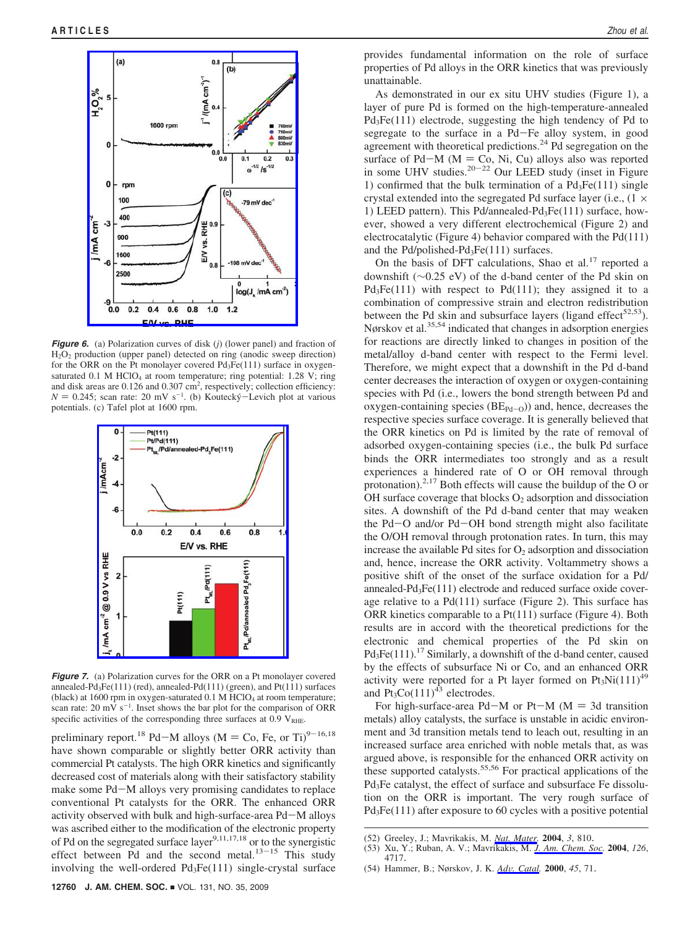

*Figure 6.* (a) Polarization curves of disk (*j*) (lower panel) and fraction of H2O2 production (upper panel) detected on ring (anodic sweep direction) for the ORR on the Pt monolayer covered  $Pd_3Fe(111)$  surface in oxygensaturated  $0.1$  M HClO<sub>4</sub> at room temperature; ring potential: 1.28 V; ring and disk areas are 0.126 and 0.307 cm<sup>2</sup>, respectively; collection efficiency:  $N = 0.245$ ; scan rate: 20 mV s<sup>-1</sup>. (b) Koutecký–Levich plot at various notentials (c) Tafel plot at 1600 rpm potentials. (c) Tafel plot at 1600 rpm.



*Figure 7.* (a) Polarization curves for the ORR on a Pt monolayer covered annealed-Pd<sub>3</sub>Fe(111) (red), annealed-Pd(111) (green), and Pt(111) surfaces (black) at 1600 rpm in oxygen-saturated  $0.1$  M HClO<sub>4</sub> at room temperature; scan rate:  $20 \text{ mV s}^{-1}$ . Inset shows the bar plot for the comparison of ORR specific activities of the corresponding three surfaces at  $0.9 V<sub>RHE</sub>$ .

preliminary report.<sup>18</sup> Pd-M alloys (M = Co, Fe, or Ti)<sup>9-16,18</sup> have shown comparable or slightly better ORR activity than commercial Pt catalysts. The high ORR kinetics and significantly decreased cost of materials along with their satisfactory stability make some Pd-M alloys very promising candidates to replace conventional Pt catalysts for the ORR. The enhanced ORR activity observed with bulk and high-surface-area Pd-M alloys was ascribed either to the modification of the electronic property of Pd on the segregated surface layer<sup>9,11,17,18</sup> or to the synergistic effect between Pd and the second metal. $13-15$  This study involving the well-ordered  $Pd_3Fe(111)$  single-crystal surface provides fundamental information on the role of surface properties of Pd alloys in the ORR kinetics that was previously unattainable.

As demonstrated in our ex situ UHV studies (Figure 1), a layer of pure Pd is formed on the high-temperature-annealed  $Pd_3Fe(111)$  electrode, suggesting the high tendency of Pd to segregate to the surface in a Pd-Fe alloy system, in good agreement with theoretical predictions.<sup>24</sup> Pd segregation on the surface of Pd-M ( $M = Co$ , Ni, Cu) alloys also was reported in some UHV studies.<sup>20-22</sup> Our LEED study (inset in Figure 1) confirmed that the bulk termination of a  $Pd_3Fe(111)$  single crystal extended into the segregated Pd surface layer (i.e., (1 × 1) LEED pattern). This Pd/annealed-Pd<sub>3</sub>Fe(111) surface, however, showed a very different electrochemical (Figure 2) and electrocatalytic (Figure 4) behavior compared with the Pd(111) and the Pd/polished-Pd3Fe(111) surfaces.

On the basis of DFT calculations, Shao et al.<sup>17</sup> reported a downshift (∼0.25 eV) of the d-band center of the Pd skin on  $Pd_3Fe(111)$  with respect to  $Pd(111)$ ; they assigned it to a combination of compressive strain and electron redistribution between the Pd skin and subsurface layers (ligand effect<sup>52,53</sup>). Nørskov et al.35,54 indicated that changes in adsorption energies for reactions are directly linked to changes in position of the metal/alloy d-band center with respect to the Fermi level. Therefore, we might expect that a downshift in the Pd d-band center decreases the interaction of oxygen or oxygen-containing species with Pd (i.e., lowers the bond strength between Pd and oxygen-containing species  $(BE_{Pd-O})$  and, hence, decreases the respective species surface coverage. It is generally believed that the ORR kinetics on Pd is limited by the rate of removal of adsorbed oxygen-containing species (i.e., the bulk Pd surface binds the ORR intermediates too strongly and as a result experiences a hindered rate of O or OH removal through protonation).<sup>2,17</sup> Both effects will cause the buildup of the O or OH surface coverage that blocks  $O_2$  adsorption and dissociation sites. A downshift of the Pd d-band center that may weaken the Pd-O and/or Pd-OH bond strength might also facilitate the O/OH removal through protonation rates. In turn, this may increase the available Pd sites for  $O_2$  adsorption and dissociation and, hence, increase the ORR activity. Voltammetry shows a positive shift of the onset of the surface oxidation for a Pd/ annealed-Pd3Fe(111) electrode and reduced surface oxide coverage relative to a Pd(111) surface (Figure 2). This surface has ORR kinetics comparable to a Pt(111) surface (Figure 4). Both results are in accord with the theoretical predictions for the electronic and chemical properties of the Pd skin on  $Pd_3Fe(111).<sup>17</sup>$  Similarly, a downshift of the d-band center, caused by the effects of subsurface Ni or Co, and an enhanced ORR activity were reported for a Pt layer formed on  $Pt_3Ni(111)^{49}$ and  $Pt_3Co(111)^{43}$  electrodes.

For high-surface-area Pd-M or Pt-M ( $M = 3d$  transition metals) alloy catalysts, the surface is unstable in acidic environment and 3d transition metals tend to leach out, resulting in an increased surface area enriched with noble metals that, as was argued above, is responsible for the enhanced ORR activity on these supported catalysts.55,56 For practical applications of the Pd3Fe catalyst, the effect of surface and subsurface Fe dissolution on the ORR is important. The very rough surface of Pd<sub>3</sub>Fe(111) after exposure to 60 cycles with a positive potential

- (52) Greeley, J.; Mavrikakis, M. *Nat. Mater.* **2004**, *3*, 810.
- (53) Xu, Y.; Ruban, A. V.; Mavrikakis, M. *J. Am. Chem. Soc.* **2004**, *126*, 4717.
- (54) Hammer, B.; Nørskov, J. K. *Ad*V*. Catal.* **<sup>2000</sup>**, *<sup>45</sup>*, 71.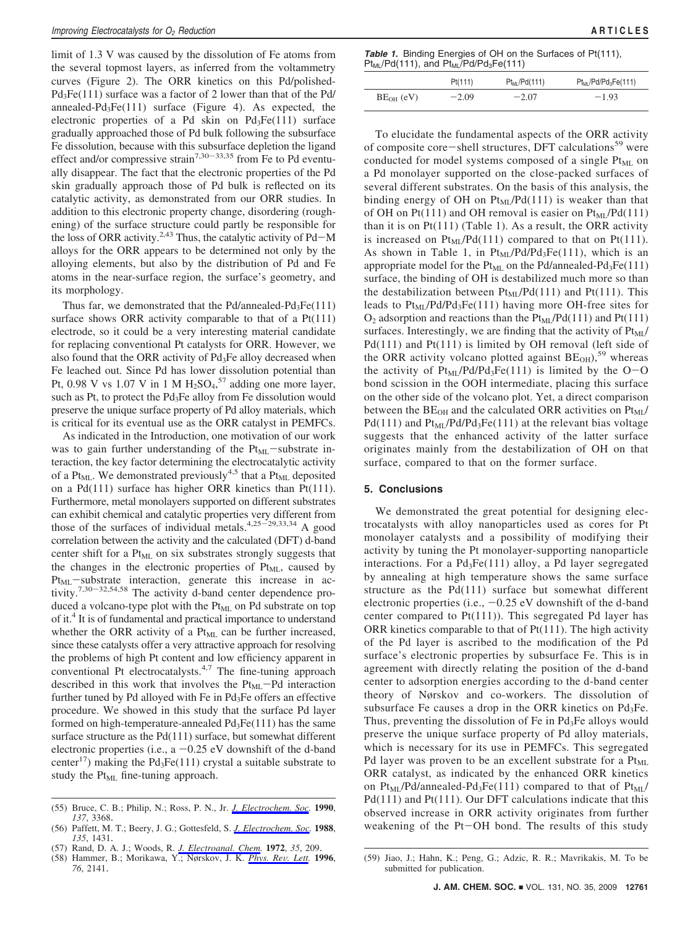limit of 1.3 V was caused by the dissolution of Fe atoms from the several topmost layers, as inferred from the voltammetry curves (Figure 2). The ORR kinetics on this Pd/polished-Pd<sub>3</sub>Fe(111) surface was a factor of 2 lower than that of the Pd/ annealed-Pd3Fe(111) surface (Figure 4). As expected, the electronic properties of a Pd skin on  $Pd_3Fe(111)$  surface gradually approached those of Pd bulk following the subsurface Fe dissolution, because with this subsurface depletion the ligand effect and/or compressive strain<sup>7,30-33,35</sup> from Fe to Pd eventually disappear. The fact that the electronic properties of the Pd skin gradually approach those of Pd bulk is reflected on its catalytic activity, as demonstrated from our ORR studies. In addition to this electronic property change, disordering (roughening) of the surface structure could partly be responsible for the loss of ORR activity.<sup>2,43</sup> Thus, the catalytic activity of  $Pd-M$ alloys for the ORR appears to be determined not only by the alloying elements, but also by the distribution of Pd and Fe atoms in the near-surface region, the surface's geometry, and its morphology.

Thus far, we demonstrated that the Pd/annealed-Pd<sub>3</sub>Fe(111) surface shows ORR activity comparable to that of a Pt(111) electrode, so it could be a very interesting material candidate for replacing conventional Pt catalysts for ORR. However, we also found that the ORR activity of  $Pd<sub>3</sub>Fe$  alloy decreased when Fe leached out. Since Pd has lower dissolution potential than Pt, 0.98 V vs 1.07 V in 1 M  $H_2SO_4$ ,<sup>57</sup> adding one more layer, such as Pt, to protect the Pd<sub>3</sub>Fe alloy from Fe dissolution would preserve the unique surface property of Pd alloy materials, which is critical for its eventual use as the ORR catalyst in PEMFCs.

As indicated in the Introduction, one motivation of our work was to gain further understanding of the  $Pt<sub>ML</sub>$ -substrate interaction, the key factor determining the electrocatalytic activity of a Pt<sub>ML</sub>. We demonstrated previously<sup>4,5</sup> that a Pt<sub>ML</sub> deposited on a Pd(111) surface has higher ORR kinetics than Pt(111). Furthermore, metal monolayers supported on different substrates can exhibit chemical and catalytic properties very different from those of the surfaces of individual metals.<sup>4,25-29,33,34</sup> A good correlation between the activity and the calculated (DFT) d-band center shift for a Pt<sub>ML</sub> on six substrates strongly suggests that the changes in the electronic properties of  $Pt<sub>ML</sub>$ , caused by  $Pt<sub>ML</sub>$ -substrate interaction, generate this increase in activity.7,30-32,54,58 The activity d-band center dependence produced a volcano-type plot with the Pt<sub>ML</sub> on Pd substrate on top of it.4 It is of fundamental and practical importance to understand whether the ORR activity of a  $Pt_{ML}$  can be further increased, since these catalysts offer a very attractive approach for resolving the problems of high Pt content and low efficiency apparent in conventional Pt electrocatalysts.<sup>4,7</sup> The fine-tuning approach described in this work that involves the  $Pt_{ML}-Pd$  interaction further tuned by Pd alloyed with Fe in  $Pd<sub>3</sub>Fe$  offers an effective procedure. We showed in this study that the surface Pd layer formed on high-temperature-annealed  $Pd_3Fe(111)$  has the same surface structure as the Pd(111) surface, but somewhat different electronic properties (i.e.,  $a -0.25$  eV downshift of the d-band center<sup>17</sup>) making the Pd<sub>3</sub>Fe(111) crystal a suitable substrate to study the  $Pt<sub>ML</sub>$  fine-tuning approach.

- (55) Bruce, C. B.; Philip, N.; Ross, P. N., Jr. *J. Electrochem. Soc.* **1990**, *137*, 3368.
- (56) Paffett, M. T.; Beery, J. G.; Gottesfeld, S. *J. Electrochem. Soc.* **1988**, *135*, 1431.

(58) Hammer, B.; Morikawa, Y.; Nørskov, J. K. *Phys. Re*V*. Lett.* **<sup>1996</sup>**,

|  |                                                  |  | <b>Table 1.</b> Binding Energies of OH on the Surfaces of Pt(111), |  |  |
|--|--------------------------------------------------|--|--------------------------------------------------------------------|--|--|
|  | $Pt_{ML}/Pd(111)$ , and $Pt_{ML}/Pd/Pd_3Fe(111)$ |  |                                                                    |  |  |

|             | Pt(111) | $Pt_{ML}/Pd(111)$ | $Pt_{MI}/Pd/Pd_3Fe(111)$ |
|-------------|---------|-------------------|--------------------------|
| $BEOH$ (eV) | $-2.09$ | $-2.07$           | $-1.93$                  |

To elucidate the fundamental aspects of the ORR activity of composite core-shell structures, DFT calculations<sup>59</sup> were conducted for model systems composed of a single Pt<sub>ML</sub> on a Pd monolayer supported on the close-packed surfaces of several different substrates. On the basis of this analysis, the binding energy of OH on  $Pt_{ML}/Pd(111)$  is weaker than that of OH on Pt(111) and OH removal is easier on  $Pt_{ML}/Pd(111)$ than it is on  $Pt(111)$  (Table 1). As a result, the ORR activity is increased on  $Pt_{MI}/Pd(111)$  compared to that on Pt(111). As shown in Table 1, in  $Pt_{ML}/Pd/Pd_3Fe(111)$ , which is an appropriate model for the  $Pt_{ML}$  on the Pd/annealed-Pd<sub>3</sub>Fe(111) surface, the binding of OH is destabilized much more so than the destabilization between  $Pt_{ML}/Pd(111)$  and  $Pt(111)$ . This leads to  $Pt_{MI}/Pd/Pd_3Fe(111)$  having more OH-free sites for  $O_2$  adsorption and reactions than the  $Pt_{ML}/Pd(111)$  and  $Pt(111)$ surfaces. Interestingly, we are finding that the activity of  $Pt_{ML}/$ Pd(111) and Pt(111) is limited by OH removal (left side of the ORR activity volcano plotted against  $BE<sub>OH</sub>$ ,<sup>59</sup> whereas the activity of  $Pt_{ML}/Pd/Pd_3Fe(111)$  is limited by the O-O bond scission in the OOH intermediate, placing this surface on the other side of the volcano plot. Yet, a direct comparison between the  $BE<sub>OH</sub>$  and the calculated ORR activities on  $Pt<sub>ML</sub>/$  $Pd(111)$  and  $Pt_{MI}/Pd/Pd_3Fe(111)$  at the relevant bias voltage suggests that the enhanced activity of the latter surface originates mainly from the destabilization of OH on that surface, compared to that on the former surface.

# **5. Conclusions**

We demonstrated the great potential for designing electrocatalysts with alloy nanoparticles used as cores for Pt monolayer catalysts and a possibility of modifying their activity by tuning the Pt monolayer-supporting nanoparticle interactions. For a Pd3Fe(111) alloy, a Pd layer segregated by annealing at high temperature shows the same surface structure as the Pd(111) surface but somewhat different electronic properties (i.e.,  $-0.25$  eV downshift of the d-band center compared to Pt(111)). This segregated Pd layer has ORR kinetics comparable to that of  $Pt(111)$ . The high activity of the Pd layer is ascribed to the modification of the Pd surface's electronic properties by subsurface Fe. This is in agreement with directly relating the position of the d-band center to adsorption energies according to the d-band center theory of Nørskov and co-workers. The dissolution of subsurface Fe causes a drop in the ORR kinetics on Pd<sub>3</sub>Fe. Thus, preventing the dissolution of Fe in  $Pd_3Fe$  alloys would preserve the unique surface property of Pd alloy materials, which is necessary for its use in PEMFCs. This segregated Pd layer was proven to be an excellent substrate for a  $Pt_{ML}$ ORR catalyst, as indicated by the enhanced ORR kinetics on  $Pt_{ML}/Pd/annealed-Pd_3Fe(111)$  compared to that of  $Pt_{ML}/Pd/anealed-Pd_3Fe(111)$ Pd(111) and Pt(111). Our DFT calculations indicate that this observed increase in ORR activity originates from further weakening of the Pt-OH bond. The results of this study

<sup>(57)</sup> Rand, D. A. J.; Woods, R. *J. Electroanal. Chem.* **1972**, *35*, 209.

*<sup>76</sup>*, 2141. (59) Jiao, J.; Hahn, K.; Peng, G.; Adzic, R. R.; Mavrikakis, M. To be submitted for publication.